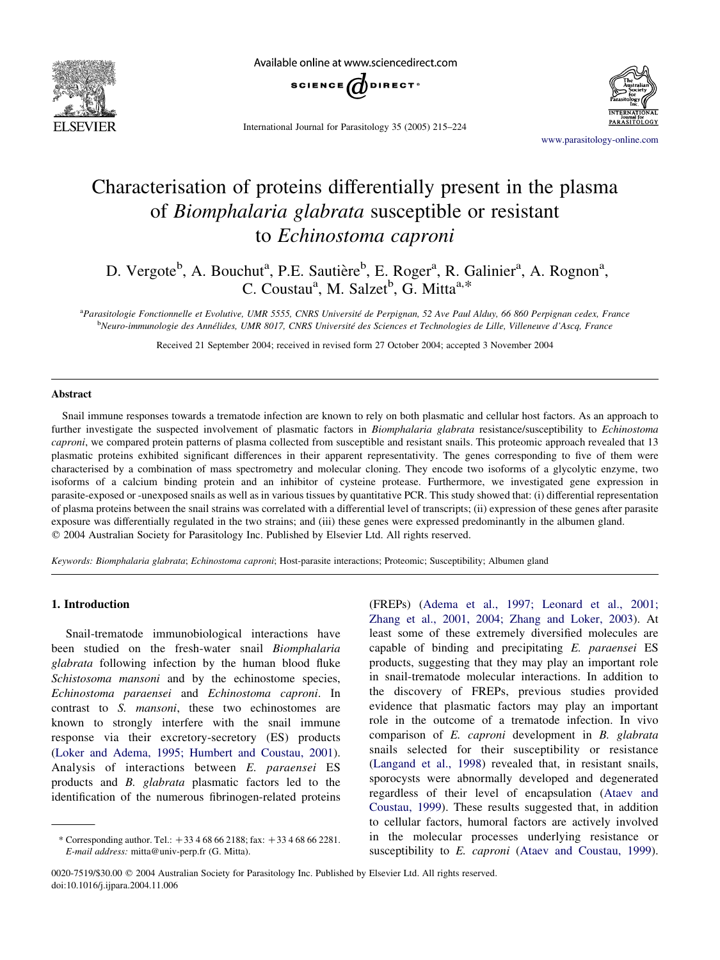

Available online at www.sciencedirect.com



International Journal for Parasitology 35 (2005) 215–224

[www.parasitology-online.com](http://www.elsevier.com/locate/PARA)

# Characterisation of proteins differentially present in the plasma of Biomphalaria glabrata susceptible or resistant to Echinostoma caproni

D. Vergote<sup>b</sup>, A. Bouchut<sup>a</sup>, P.E. Sautière<sup>b</sup>, E. Roger<sup>a</sup>, R. Galinier<sup>a</sup>, A. Rognon<sup>a</sup>, C. Coustau<sup>a</sup>, M. Salzet<sup>b</sup>, G. Mitta<sup>a,\*</sup>

<sup>a</sup>Parasitologie Fonctionnelle et Evolutive, UMR 5555, CNRS Université de Perpignan, 52 Ave Paul Alduy, 66 860 Perpignan cedex, France <sup>b</sup>Neuro-immunologie des Annélides, UMR 8017, CNRS Université des Sciences et Technologies de Lille, Villeneuve d'Ascq, France

Received 21 September 2004; received in revised form 27 October 2004; accepted 3 November 2004

#### Abstract

Snail immune responses towards a trematode infection are known to rely on both plasmatic and cellular host factors. As an approach to further investigate the suspected involvement of plasmatic factors in Biomphalaria glabrata resistance/susceptibility to Echinostoma caproni, we compared protein patterns of plasma collected from susceptible and resistant snails. This proteomic approach revealed that 13 plasmatic proteins exhibited significant differences in their apparent representativity. The genes corresponding to five of them were characterised by a combination of mass spectrometry and molecular cloning. They encode two isoforms of a glycolytic enzyme, two isoforms of a calcium binding protein and an inhibitor of cysteine protease. Furthermore, we investigated gene expression in parasite-exposed or -unexposed snails as well as in various tissues by quantitative PCR. This study showed that: (i) differential representation of plasma proteins between the snail strains was correlated with a differential level of transcripts; (ii) expression of these genes after parasite exposure was differentially regulated in the two strains; and (iii) these genes were expressed predominantly in the albumen gland.  $\odot$  2004 Australian Society for Parasitology Inc. Published by Elsevier Ltd. All rights reserved.

Keywords: Biomphalaria glabrata; Echinostoma caproni; Host-parasite interactions; Proteomic; Susceptibility; Albumen gland

## 1. Introduction

Snail-trematode immunobiological interactions have been studied on the fresh-water snail Biomphalaria glabrata following infection by the human blood fluke Schistosoma mansoni and by the echinostome species, Echinostoma paraensei and Echinostoma caproni. In contrast to S. mansoni, these two echinostomes are known to strongly interfere with the snail immune response via their excretory-secretory (ES) products ([Loker and Adema, 1995; Humbert and Coustau, 2001\)](#page-8-0). Analysis of interactions between E. paraensei ES products and B. glabrata plasmatic factors led to the identification of the numerous fibrinogen-related proteins

(FREPs) ([Adema et al., 1997; Leonard et al., 2001;](#page-8-0) [Zhang et al., 2001, 2004; Zhang and Loker, 2003\)](#page-8-0). At least some of these extremely diversified molecules are capable of binding and precipitating E. paraensei ES products, suggesting that they may play an important role in snail-trematode molecular interactions. In addition to the discovery of FREPs, previous studies provided evidence that plasmatic factors may play an important role in the outcome of a trematode infection. In vivo comparison of E. caproni development in B. glabrata snails selected for their susceptibility or resistance ([Langand et al., 1998](#page-8-0)) revealed that, in resistant snails, sporocysts were abnormally developed and degenerated regardless of their level of encapsulation ([Ataev and](#page-8-0) [Coustau, 1999](#page-8-0)). These results suggested that, in addition to cellular factors, humoral factors are actively involved in the molecular processes underlying resistance or susceptibility to E. caproni [\(Ataev and Coustau, 1999\)](#page-8-0).

<sup>\*</sup> Corresponding author. Tel.:  $+33\,4\,68\,66\,2188$ ; fax:  $+33\,4\,68\,66\,2281$ . E-mail address: mitta@univ-perp.fr (G. Mitta).

<sup>0020-7519/\$30.00 © 2004</sup> Australian Society for Parasitology Inc. Published by Elsevier Ltd. All rights reserved. doi:10.1016/j.ijpara.2004.11.006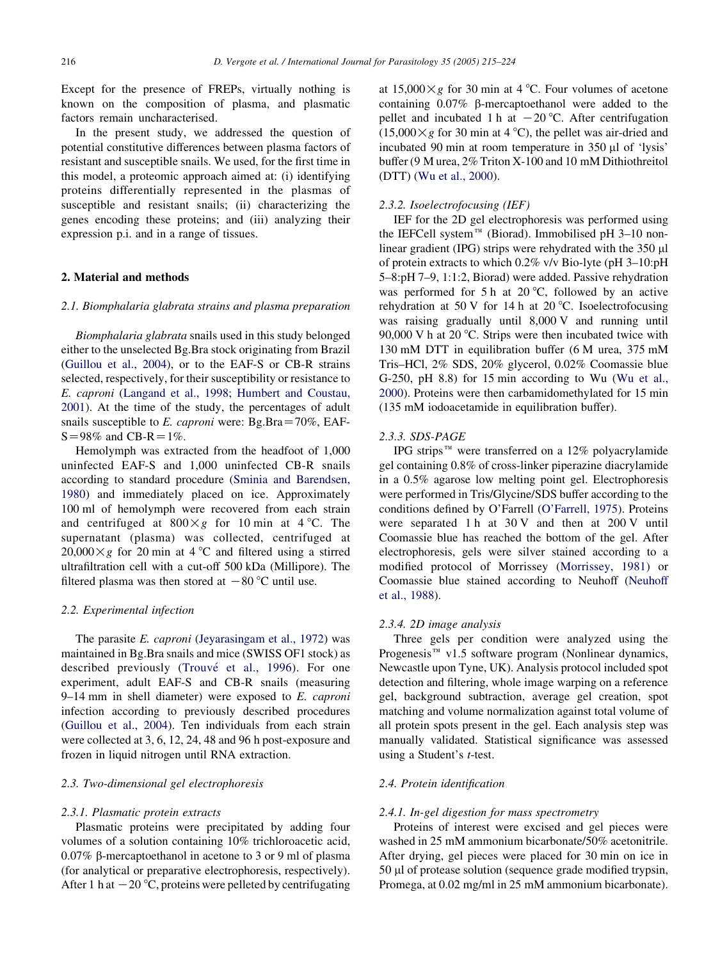Except for the presence of FREPs, virtually nothing is known on the composition of plasma, and plasmatic factors remain uncharacterised.

In the present study, we addressed the question of potential constitutive differences between plasma factors of resistant and susceptible snails. We used, for the first time in this model, a proteomic approach aimed at: (i) identifying proteins differentially represented in the plasmas of susceptible and resistant snails; (ii) characterizing the genes encoding these proteins; and (iii) analyzing their expression p.i. and in a range of tissues.

#### 2. Material and methods

#### 2.1. Biomphalaria glabrata strains and plasma preparation

Biomphalaria glabrata snails used in this study belonged either to the unselected Bg.Bra stock originating from Brazil ([Guillou et al., 2004\)](#page-8-0), or to the EAF-S or CB-R strains selected, respectively, for their susceptibility or resistance to E. caproni [\(Langand et al., 1998; Humbert and Coustau,](#page-8-0) [2001\)](#page-8-0). At the time of the study, the percentages of adult snails susceptible to E. caproni were: Bg.Bra $=70\%$ , EAF- $S = 98\%$  and CB-R = 1%.

Hemolymph was extracted from the headfoot of 1,000 uninfected EAF-S and 1,000 uninfected CB-R snails according to standard procedure [\(Sminia and Barendsen,](#page-9-0) [1980\)](#page-9-0) and immediately placed on ice. Approximately 100 ml of hemolymph were recovered from each strain and centrifuged at  $800 \times g$  for 10 min at 4 °C. The supernatant (plasma) was collected, centrifuged at  $20,000 \times g$  for 20 min at 4 °C and filtered using a stirred ultrafiltration cell with a cut-off 500 kDa (Millipore). The filtered plasma was then stored at  $-80$  °C until use.

#### 2.2. Experimental infection

The parasite E. caproni ([Jeyarasingam et al., 1972\)](#page-8-0) was maintained in Bg.Bra snails and mice (SWISS OF1 stock) as described previously (Trouvé [et al., 1996\)](#page-9-0). For one experiment, adult EAF-S and CB-R snails (measuring  $9-14$  mm in shell diameter) were exposed to E. caproni infection according to previously described procedures ([Guillou et al., 2004\)](#page-8-0). Ten individuals from each strain were collected at 3, 6, 12, 24, 48 and 96 h post-exposure and frozen in liquid nitrogen until RNA extraction.

#### 2.3. Two-dimensional gel electrophoresis

#### 2.3.1. Plasmatic protein extracts

Plasmatic proteins were precipitated by adding four volumes of a solution containing 10% trichloroacetic acid, 0.07% b-mercaptoethanol in acetone to 3 or 9 ml of plasma (for analytical or preparative electrophoresis, respectively). After 1 h at  $-20$  °C, proteins were pelleted by centrifugating

at  $15,000 \times g$  for 30 min at 4 °C. Four volumes of acetone containing 0.07% b-mercaptoethanol were added to the pellet and incubated 1 h at  $-20$  °C. After centrifugation  $(15,000 \times g$  for 30 min at 4 °C), the pellet was air-dried and incubated 90 min at room temperature in 350 µl of 'lysis' buffer (9 M urea, 2% Triton X-100 and 10 mM Dithiothreitol (DTT) ([Wu et al., 2000\)](#page-9-0).

#### 2.3.2. Isoelectrofocusing (IEF)

IEF for the 2D gel electrophoresis was performed using the IEFCell system<sup>™</sup> (Biorad). Immobilised pH 3–10 nonlinear gradient (IPG) strips were rehydrated with the  $350 \mu l$ of protein extracts to which 0.2% v/v Bio-lyte (pH 3–10:pH 5–8:pH 7–9, 1:1:2, Biorad) were added. Passive rehydration was performed for 5 h at 20 $\degree$ C, followed by an active rehydration at 50 V for 14 h at 20 °C. Isoelectrofocusing was raising gradually until 8,000 V and running until 90,000 V h at 20  $\degree$ C. Strips were then incubated twice with 130 mM DTT in equilibration buffer (6 M urea, 375 mM Tris–HCl, 2% SDS, 20% glycerol, 0.02% Coomassie blue G-250, pH 8.8) for 15 min according to Wu ([Wu et al.,](#page-9-0) [2000\)](#page-9-0). Proteins were then carbamidomethylated for 15 min (135 mM iodoacetamide in equilibration buffer).

#### 2.3.3. SDS-PAGE

IPG strips<sup> $m$ </sup> were transferred on a 12% polyacrylamide gel containing 0.8% of cross-linker piperazine diacrylamide in a 0.5% agarose low melting point gel. Electrophoresis were performed in Tris/Glycine/SDS buffer according to the conditions defined by O'Farrell [\(O'Farrell, 1975\)](#page-9-0). Proteins were separated 1 h at 30 V and then at 200 V until Coomassie blue has reached the bottom of the gel. After electrophoresis, gels were silver stained according to a modified protocol of Morrissey ([Morrissey, 1981](#page-9-0)) or Coomassie blue stained according to Neuhoff [\(Neuhoff](#page-9-0) [et al., 1988](#page-9-0)).

#### 2.3.4. 2D image analysis

Three gels per condition were analyzed using the Progenesis<sup> $M$ </sup> v1.5 software program (Nonlinear dynamics, Newcastle upon Tyne, UK). Analysis protocol included spot detection and filtering, whole image warping on a reference gel, background subtraction, average gel creation, spot matching and volume normalization against total volume of all protein spots present in the gel. Each analysis step was manually validated. Statistical significance was assessed using a Student's t-test.

#### 2.4. Protein identification

#### 2.4.1. In-gel digestion for mass spectrometry

Proteins of interest were excised and gel pieces were washed in 25 mM ammonium bicarbonate/50% acetonitrile. After drying, gel pieces were placed for 30 min on ice in 50 µl of protease solution (sequence grade modified trypsin, Promega, at 0.02 mg/ml in 25 mM ammonium bicarbonate).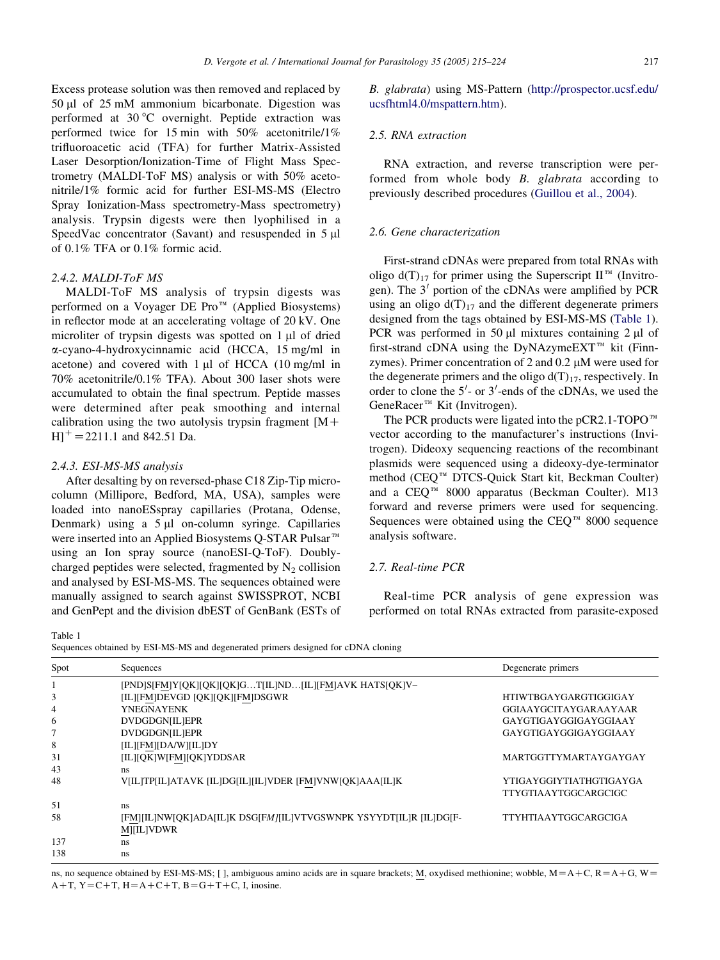<span id="page-2-0"></span>Excess protease solution was then removed and replaced by 50 ml of 25 mM ammonium bicarbonate. Digestion was performed at  $30^{\circ}$ C overnight. Peptide extraction was performed twice for 15 min with 50% acetonitrile/1% trifluoroacetic acid (TFA) for further Matrix-Assisted Laser Desorption/Ionization-Time of Flight Mass Spectrometry (MALDI-ToF MS) analysis or with 50% acetonitrile/1% formic acid for further ESI-MS-MS (Electro Spray Ionization-Mass spectrometry-Mass spectrometry) analysis. Trypsin digests were then lyophilised in a SpeedVac concentrator (Savant) and resuspended in 5  $\mu$ of 0.1% TFA or 0.1% formic acid.

# 2.4.2. MALDI-ToF MS

MALDI-ToF MS analysis of trypsin digests was performed on a Voyager DE Pro<sup>™</sup> (Applied Biosystems) in reflector mode at an accelerating voltage of 20 kV. One microliter of trypsin digests was spotted on 1 µl of dried a-cyano-4-hydroxycinnamic acid (HCCA, 15 mg/ml in acetone) and covered with 1 ul of HCCA (10 mg/ml in 70% acetonitrile/0.1% TFA). About 300 laser shots were accumulated to obtain the final spectrum. Peptide masses were determined after peak smoothing and internal calibration using the two autolysis trypsin fragment  $[M+$  $H$ <sup>+</sup> = 2211.1 and 842.51 Da.

#### 2.4.3. ESI-MS-MS analysis

After desalting by on reversed-phase C18 Zip-Tip microcolumn (Millipore, Bedford, MA, USA), samples were loaded into nanoESspray capillaries (Protana, Odense, Denmark) using a  $5 \mu l$  on-column syringe. Capillaries were inserted into an Applied Biosystems Q-STAR Pulsar<sup>™</sup> using an Ion spray source (nanoESI-Q-ToF). Doublycharged peptides were selected, fragmented by  $N<sub>2</sub>$  collision and analysed by ESI-MS-MS. The sequences obtained were manually assigned to search against SWISSPROT, NCBI and GenPept and the division dbEST of GenBank (ESTs of B. glabrata) using MS-Pattern ([http://prospector.ucsf.edu/](http://prospector.ucsf.edu/ucsfhtml4.0/mspattern.htm) [ucsfhtml4.0/mspattern.htm](http://prospector.ucsf.edu/ucsfhtml4.0/mspattern.htm)).

## 2.5. RNA extraction

RNA extraction, and reverse transcription were performed from whole body B. glabrata according to previously described procedures [\(Guillou et al., 2004](#page-8-0)).

## 2.6. Gene characterization

First-strand cDNAs were prepared from total RNAs with oligo  $d(T)_{17}$  for primer using the Superscript  $II^{\mathbb{M}}$  (Invitrogen). The  $3'$  portion of the cDNAs were amplified by PCR using an oligo  $d(T)_{17}$  and the different degenerate primers designed from the tags obtained by ESI-MS-MS (Table 1). PCR was performed in 50  $\mu$ l mixtures containing 2  $\mu$ l of first-strand cDNA using the DyNAzymeEXT<sup>TM</sup> kit (Finnzymes). Primer concentration of 2 and  $0.2 \mu M$  were used for the degenerate primers and the oligo  $d(T)_{17}$ , respectively. In order to clone the  $5'$ - or  $3'$ -ends of the cDNAs, we used the  $GeneRacer^{\pi M}$  Kit (Invitrogen).

The PCR products were ligated into the pCR2.1-TOPO $^{\text{TM}}$ vector according to the manufacturer's instructions (Invitrogen). Dideoxy sequencing reactions of the recombinant plasmids were sequenced using a dideoxy-dye-terminator method (CEQ<sup>™</sup> DTCS-Quick Start kit, Beckman Coulter) and a  $CEO^{TM}$  8000 apparatus (Beckman Coulter). M13 forward and reverse primers were used for sequencing. Sequences were obtained using the  $CEO<sup>TM</sup>$  8000 sequence analysis software.

## 2.7. Real-time PCR

Real-time PCR analysis of gene expression was performed on total RNAs extracted from parasite-exposed

Table 1

Sequences obtained by ESI-MS-MS and degenerated primers designed for cDNA cloning

| Spot | Sequences                                                                               | Degenerate primers                              |  |  |  |  |  |
|------|-----------------------------------------------------------------------------------------|-------------------------------------------------|--|--|--|--|--|
|      | [PND]S[FM]Y[QK][QK][QK]GT[IL]ND[IL][FM]AVK HATS[QK]V-                                   |                                                 |  |  |  |  |  |
| 3    | [IL][FM]DEVGD [QK][QK][FM]DSGWR                                                         | <b>HTIWTBGAYGARGTIGGIGAY</b>                    |  |  |  |  |  |
| 4    | YNEGNAYENK                                                                              | GGIAAYGCITAYGARAAYAAR                           |  |  |  |  |  |
| 6    | <b>DVDGDGN[IL]EPR</b>                                                                   | GAYGTIGAYGGIGAYGGIAAY                           |  |  |  |  |  |
|      | <b>DVDGDGNILIEPR</b>                                                                    | GAYGTIGAYGGIGAYGGIAAY                           |  |  |  |  |  |
| 8    | [IL][FM][DA/W][IL]DY                                                                    |                                                 |  |  |  |  |  |
| 31   | [IL][QK]W[FM][QK]YDDSAR                                                                 | MARTGGTTYMARTAYGAYGAY                           |  |  |  |  |  |
| 43   | ns                                                                                      |                                                 |  |  |  |  |  |
| 48   | V[IL]TP[IL]ATAVK [IL]DG[IL][IL]VDER [FM]VNW[QK]AAA[IL]K                                 | YTIGAYGGIYTIATHGTIGAYGA<br>TTYGTIAAYTGGCARGCIGC |  |  |  |  |  |
| 51   | ns                                                                                      |                                                 |  |  |  |  |  |
| 58   | [FM][IL]NW[QK]ADA[IL]K DSG[FM/[IL]VTVGSWNPK YSYYDT[IL]R [IL]DG[F-<br><b>M</b>  [IL]VDWR | TTYHTIAAYTGGCARGCIGA                            |  |  |  |  |  |
| 137  | ns                                                                                      |                                                 |  |  |  |  |  |
| 138  | ns                                                                                      |                                                 |  |  |  |  |  |

ns, no sequence obtained by ESI-MS-MS; [], ambiguous amino acids are in square brackets; M, oxydised methionine; wobble,  $M = A + C$ ,  $R = A + G$ ,  $W =$ A+T, Y=C+T, H=A+C+T, B=G+T+C, I, inosine.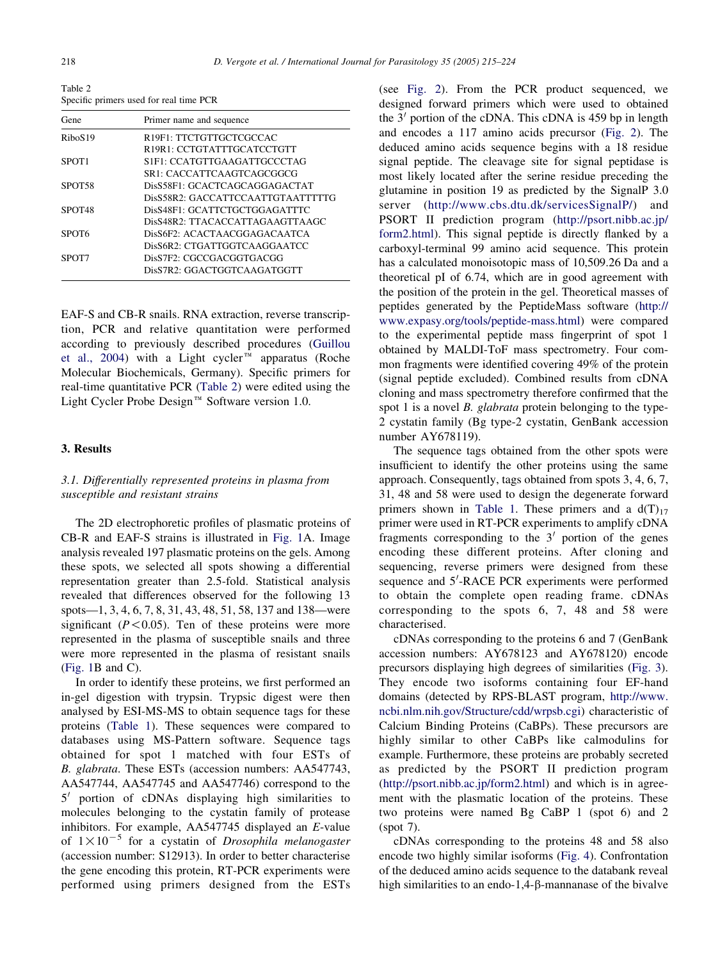Table 2 Specific primers used for real time PCR

| Gene                | Primer name and sequence                |
|---------------------|-----------------------------------------|
| RiboS <sub>19</sub> | R19F1: TTCTGTTGCTCGCCAC                 |
|                     | R <sub>19R1</sub> : CCTGTATTTGCATCCTGTT |
| SPOT <sub>1</sub>   | S1F1: CCATGTTGAAGATTGCCCTAG             |
|                     | SR1: CACCATTCAAGTCAGCGGCG               |
| SPOT <sub>58</sub>  | DisS58F1: GCACTCAGCAGGAGACTAT           |
|                     | DisS58R2: GACCATTCCAATTGTAATTTTTG       |
| SPOT <sub>48</sub>  | DisS48F1: GCATTCTGCTGGAGATTTC           |
|                     | DisS48R2: TTACACCATTAGAAGTTAAGC         |
| SPOT6               | DisS6F2: ACACTAACGGAGACAATCA            |
|                     | DisS6R2: CTGATTGGTCAAGGAATCC            |
| SPOT7               | DisS7F2: CGCCGACGGTGACGG                |
|                     | DisS7R2: GGACTGGTCAAGATGGTT             |

EAF-S and CB-R snails. RNA extraction, reverse transcription, PCR and relative quantitation were performed according to previously described procedures ([Guillou](#page-8-0) [et al., 2004](#page-8-0)) with a Light cycler<sup> $m$ </sup> apparatus (Roche Molecular Biochemicals, Germany). Specific primers for real-time quantitative PCR (Table 2) were edited using the Light Cycler Probe Design<sup> $M$ </sup> Software version 1.0.

#### 3. Results

# 3.1. Differentially represented proteins in plasma from susceptible and resistant strains

The 2D electrophoretic profiles of plasmatic proteins of CB-R and EAF-S strains is illustrated in [Fig. 1A](#page-4-0). Image analysis revealed 197 plasmatic proteins on the gels. Among these spots, we selected all spots showing a differential representation greater than 2.5-fold. Statistical analysis revealed that differences observed for the following 13 spots—1, 3, 4, 6, 7, 8, 31, 43, 48, 51, 58, 137 and 138—were significant ( $P < 0.05$ ). Ten of these proteins were more represented in the plasma of susceptible snails and three were more represented in the plasma of resistant snails ([Fig. 1B](#page-4-0) and C).

In order to identify these proteins, we first performed an in-gel digestion with trypsin. Trypsic digest were then analysed by ESI-MS-MS to obtain sequence tags for these proteins ([Table 1](#page-2-0)). These sequences were compared to databases using MS-Pattern software. Sequence tags obtained for spot 1 matched with four ESTs of B. glabrata. These ESTs (accession numbers: AA547743, AA547744, AA547745 and AA547746) correspond to the  $5'$  portion of cDNAs displaying high similarities to molecules belonging to the cystatin family of protease inhibitors. For example, AA547745 displayed an E-value of  $1 \times 10^{-5}$  for a cystatin of Drosophila melanogaster (accession number: S12913). In order to better characterise the gene encoding this protein, RT-PCR experiments were performed using primers designed from the ESTs (see [Fig. 2\)](#page-5-0). From the PCR product sequenced, we designed forward primers which were used to obtained the  $3'$  portion of the cDNA. This cDNA is 459 bp in length and encodes a 117 amino acids precursor ([Fig. 2](#page-5-0)). The deduced amino acids sequence begins with a 18 residue signal peptide. The cleavage site for signal peptidase is most likely located after the serine residue preceding the glutamine in position 19 as predicted by the SignalP 3.0 server ([http://www.cbs.dtu.dk/servicesSignalP/\)](http://www.cbs.dtu.dk/services/SignalP/) and PSORT II prediction program ([http://psort.nibb.ac.jp/](http://psort.nibb.ac.jp/form2.html) [form2.html\)](http://psort.nibb.ac.jp/form2.html). This signal peptide is directly flanked by a carboxyl-terminal 99 amino acid sequence. This protein has a calculated monoisotopic mass of 10,509.26 Da and a theoretical pI of 6.74, which are in good agreement with the position of the protein in the gel. Theoretical masses of peptides generated by the PeptideMass software ([http://](http://www.expasy.org/tools/peptide-mass.html) [www.expasy.org/tools/peptide-mass.html](http://www.expasy.org/tools/peptide-mass.html)) were compared to the experimental peptide mass fingerprint of spot 1 obtained by MALDI-ToF mass spectrometry. Four common fragments were identified covering 49% of the protein (signal peptide excluded). Combined results from cDNA cloning and mass spectrometry therefore confirmed that the spot 1 is a novel *B*. *glabrata* protein belonging to the type-2 cystatin family (Bg type-2 cystatin, GenBank accession number AY678119).

The sequence tags obtained from the other spots were insufficient to identify the other proteins using the same approach. Consequently, tags obtained from spots 3, 4, 6, 7, 31, 48 and 58 were used to design the degenerate forward primers shown in [Table 1](#page-2-0). These primers and a  $d(T)_{17}$ primer were used in RT-PCR experiments to amplify cDNA fragments corresponding to the  $3'$  portion of the genes encoding these different proteins. After cloning and sequencing, reverse primers were designed from these sequence and 5'-RACE PCR experiments were performed to obtain the complete open reading frame. cDNAs corresponding to the spots 6, 7, 48 and 58 were characterised.

cDNAs corresponding to the proteins 6 and 7 (GenBank accession numbers: AY678123 and AY678120) encode precursors displaying high degrees of similarities ([Fig. 3\)](#page-5-0). They encode two isoforms containing four EF-hand domains (detected by RPS-BLAST program, [http://www.](http://www.ncbi.nlm.nih.gov/Structure/cdd/wrpsb.cgi) [ncbi.nlm.nih.gov/Structure/cdd/wrpsb.cgi](http://www.ncbi.nlm.nih.gov/Structure/cdd/wrpsb.cgi)) characteristic of Calcium Binding Proteins (CaBPs). These precursors are highly similar to other CaBPs like calmodulins for example. Furthermore, these proteins are probably secreted as predicted by the PSORT II prediction program (<http://psort.nibb.ac.jp/form2.html>) and which is in agreement with the plasmatic location of the proteins. These two proteins were named Bg CaBP 1 (spot 6) and 2 (spot 7).

cDNAs corresponding to the proteins 48 and 58 also encode two highly similar isoforms ([Fig. 4\)](#page-6-0). Confrontation of the deduced amino acids sequence to the databank reveal high similarities to an endo-1,4- $\beta$ -mannanase of the bivalve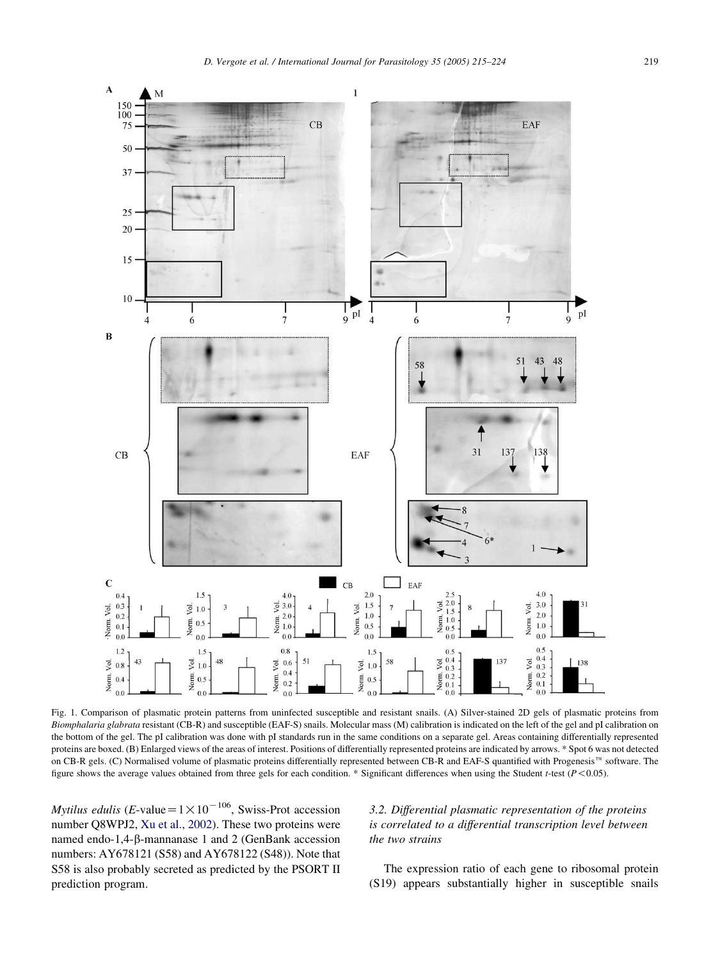<span id="page-4-0"></span>

Fig. 1. Comparison of plasmatic protein patterns from uninfected susceptible and resistant snails. (A) Silver-stained 2D gels of plasmatic proteins from Biomphalaria glabrata resistant (CB-R) and susceptible (EAF-S) snails. Molecular mass (M) calibration is indicated on the left of the gel and pI calibration on the bottom of the gel. The pI calibration was done with pI standards run in the same conditions on a separate gel. Areas containing differentially represented proteins are boxed. (B) Enlarged views of the areas of interest. Positions of differentially represented proteins are indicated by arrows. \* Spot 6 was not detected on CB-R gels. (C) Normalised volume of plasmatic proteins differentially represented between CB-R and EAF-S quantified with Progenesis™ software. The figure shows the average values obtained from three gels for each condition. \* Significant differences when using the Student t-test  $(P<0.05)$ .

Mytilus edulis (E-value =  $1 \times 10^{-106}$ , Swiss-Prot accession number Q8WPJ2, [Xu et al., 2002](#page-9-0)). These two proteins were named endo-1,4-b-mannanase 1 and 2 (GenBank accession numbers: AY678121 (S58) and AY678122 (S48)). Note that S58 is also probably secreted as predicted by the PSORT II prediction program.

# 3.2. Differential plasmatic representation of the proteins is correlated to a differential transcription level between the two strains

The expression ratio of each gene to ribosomal protein (S19) appears substantially higher in susceptible snails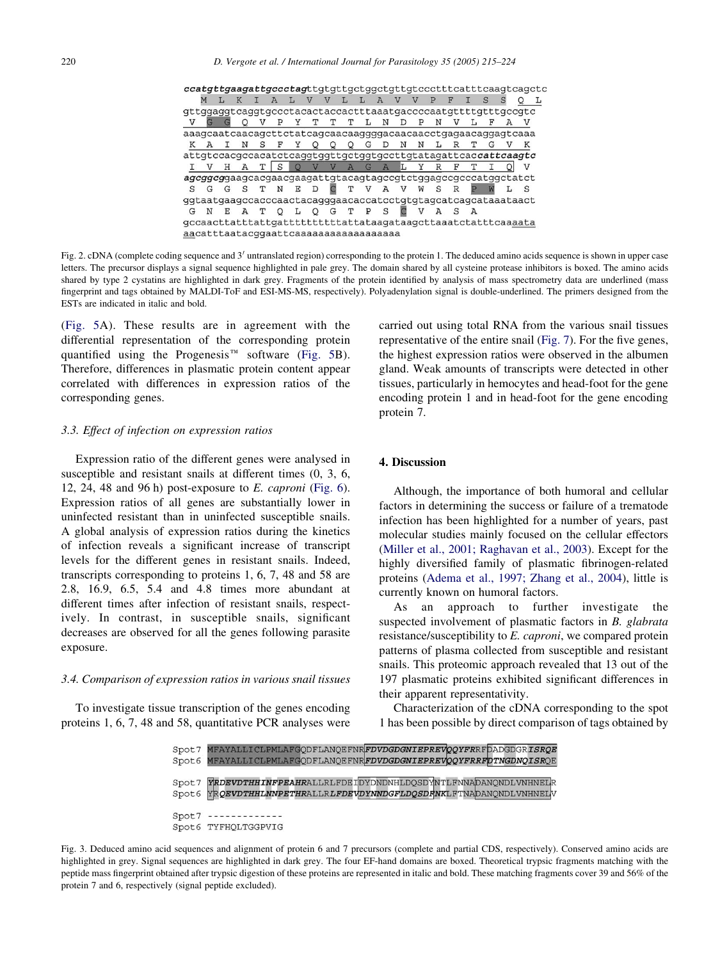<span id="page-5-0"></span>

| ccatgttgaagattgccctagttgttgttgctggctgttgtccctttcatttcaagtcagctc |   |  |    |               |              |   |     |              |         |   |                |                         |              |              |     |   |              |     |   |  |
|-----------------------------------------------------------------|---|--|----|---------------|--------------|---|-----|--------------|---------|---|----------------|-------------------------|--------------|--------------|-----|---|--------------|-----|---|--|
|                                                                 |   |  |    |               |              |   |     | $\mathbf{V}$ |         |   | $\overline{A}$ | $\overline{V}$          |              |              |     |   |              |     |   |  |
|                                                                 |   |  |    |               |              |   |     |              |         |   |                |                         |              |              |     |   |              |     |   |  |
|                                                                 |   |  |    |               | $\mathbb{P}$ |   | Y T | т            | T       | L | $\mathbb N$    | D                       | $\mathbb{P}$ | $\mathbb N$  | v   |   | $\mathbf{F}$ | A V |   |  |
| aaagcaatcaacagcttctatcagcaacaaggggacaacaacctgagaacaggagtcaaa    |   |  |    |               |              |   |     |              |         |   |                |                         |              |              |     |   |              |     |   |  |
| K                                                               |   |  |    | S             | F            | Y |     | O            | $\circ$ | G |                | N                       | Ν            | ь            | R   | т |              |     |   |  |
| attgtccacgccacatctcaggtggttgctggtgccttgtatagattcaccattcaagtc    |   |  |    |               |              |   |     |              |         |   |                |                         |              |              |     |   |              |     |   |  |
|                                                                 |   |  |    | т             |              |   |     |              |         |   |                | O V V A G A L Y R F T I |              |              |     |   |              |     | V |  |
| agcggcggaagcacgaacgaagattgtacagtagccgtctggagccgcccatggctatct    |   |  |    |               |              |   |     |              |         |   |                |                         |              |              |     |   |              |     |   |  |
| S                                                               |   |  |    | G S T N E D   |              |   |     | C            |         |   |                | T V A V W S             |              |              | R   |   |              |     | S |  |
|                                                                 |   |  |    |               |              |   |     |              |         |   |                |                         |              |              |     |   |              |     |   |  |
| G                                                               | Ν |  | EA | T Q L Q G T P |              |   |     |              |         |   | $\mathbf S$    |                         | v            | $\mathbf{A}$ | - S | A |              |     |   |  |
| gccaacttatttattgattttttttttattataagataagcttaaatctatttcaaaata    |   |  |    |               |              |   |     |              |         |   |                |                         |              |              |     |   |              |     |   |  |
| aacatttaatacggaattcaaaaaaaaaaaaaaaaaa                           |   |  |    |               |              |   |     |              |         |   |                |                         |              |              |     |   |              |     |   |  |

Fig. 2. cDNA (complete coding sequence and  $3'$  untranslated region) corresponding to the protein 1. The deduced amino acids sequence is shown in upper case letters. The precursor displays a signal sequence highlighted in pale grey. The domain shared by all cysteine protease inhibitors is boxed. The amino acids shared by type 2 cystatins are highlighted in dark grey. Fragments of the protein identified by analysis of mass spectrometry data are underlined (mass fingerprint and tags obtained by MALDI-ToF and ESI-MS-MS, respectively). Polyadenylation signal is double-underlined. The primers designed from the ESTs are indicated in italic and bold.

([Fig. 5](#page-6-0)A). These results are in agreement with the differential representation of the corresponding protein quantified using the Progenesis<sup> $m$ </sup> software [\(Fig. 5](#page-6-0)B). Therefore, differences in plasmatic protein content appear correlated with differences in expression ratios of the corresponding genes.

#### 3.3. Effect of infection on expression ratios

Expression ratio of the different genes were analysed in susceptible and resistant snails at different times (0, 3, 6, 12, 24, 48 and 96 h) post-exposure to  $E$ . *caproni* ([Fig. 6\)](#page-7-0). Expression ratios of all genes are substantially lower in uninfected resistant than in uninfected susceptible snails. A global analysis of expression ratios during the kinetics of infection reveals a significant increase of transcript levels for the different genes in resistant snails. Indeed, transcripts corresponding to proteins 1, 6, 7, 48 and 58 are 2.8, 16.9, 6.5, 5.4 and 4.8 times more abundant at different times after infection of resistant snails, respectively. In contrast, in susceptible snails, significant decreases are observed for all the genes following parasite exposure.

#### 3.4. Comparison of expression ratios in various snail tissues

To investigate tissue transcription of the genes encoding proteins 1, 6, 7, 48 and 58, quantitative PCR analyses were carried out using total RNA from the various snail tissues representative of the entire snail ([Fig. 7\)](#page-7-0). For the five genes, the highest expression ratios were observed in the albumen gland. Weak amounts of transcripts were detected in other tissues, particularly in hemocytes and head-foot for the gene encoding protein 1 and in head-foot for the gene encoding protein 7.

## 4. Discussion

Although, the importance of both humoral and cellular factors in determining the success or failure of a trematode infection has been highlighted for a number of years, past molecular studies mainly focused on the cellular effectors ([Miller et al., 2001; Raghavan et al., 2003\)](#page-9-0). Except for the highly diversified family of plasmatic fibrinogen-related proteins ([Adema et al., 1997; Zhang et al., 2004\)](#page-8-0), little is currently known on humoral factors.

As an approach to further investigate the suspected involvement of plasmatic factors in B. glabrata resistance/susceptibility to E. caproni, we compared protein patterns of plasma collected from susceptible and resistant snails. This proteomic approach revealed that 13 out of the 197 plasmatic proteins exhibited significant differences in their apparent representativity.

Characterization of the cDNA corresponding to the spot 1 has been possible by direct comparison of tags obtained by



Fig. 3. Deduced amino acid sequences and alignment of protein 6 and 7 precursors (complete and partial CDS, respectively). Conserved amino acids are highlighted in grey. Signal sequences are highlighted in dark grey. The four EF-hand domains are boxed. Theoretical trypsic fragments matching with the peptide mass fingerprint obtained after trypsic digestion of these proteins are represented in italic and bold. These matching fragments cover 39 and 56% of the protein 7 and 6, respectively (signal peptide excluded).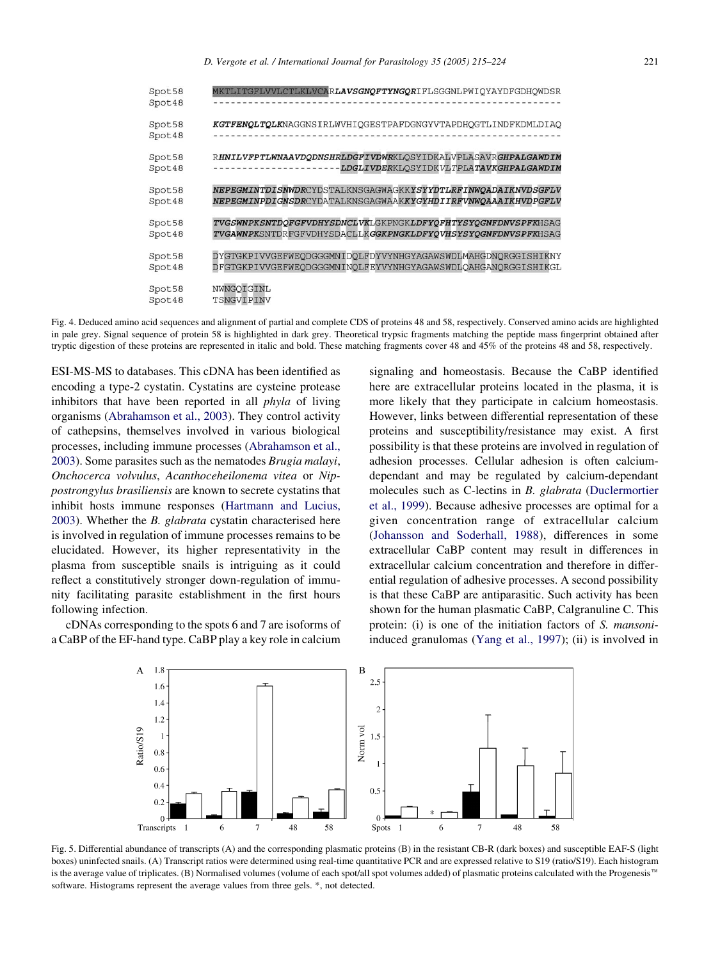<span id="page-6-0"></span>

| Spot58<br>Spot48 | MKTLITGFLVVLCTLKLVCAR <b>LAVSGNQFTYNGQR</b> IFLSGGNLPWIQYAYDFGDHQWDSR |
|------------------|-----------------------------------------------------------------------|
| Spot58<br>Spot48 | KGTFENQLTQLKNAGGNSIRLWVHIQGESTPAFDGNGYVTAPDHQGTLINDFKDMLDIAQ          |
| Spot58           | RHNILVFPTLWNAAVDODNSHRLDGFIVDWRKLOSYIDKALVPLASAVRGHPALGAWDIM          |
| Spot48           | LDGLIVDERKLOSYIDKVLTPLATAVKGHPALGAWDIM                                |
| Spot58           | NEPEGMINTDISNWDRCYDSTALKNSGAGWAGKKYSYYDTLRFINWQADAIKNVDSGFLV          |
| Spot48           | NEPEGMINPDIGNSDRCYDATALKNSGAGWAAKKYGYHDIIRFVNWOAAAIKHVDPGFLV          |
| Spot58           | TVGSWNPKSNTDQFGFVDHYSDNCLVKLGKPNGKLDFYQFHTYSYQGNFDNVSPFKHSAG          |
| Spot48           | TVGAWNPKSNTDRFGFVDHYSDACLLKGGKPNGKLDFYQVHSYSYQGNFDNVSPFKHSAG          |
| Spot58           | DYGTGKPIVVGEFWEODGGGMNIDOLFDYVYNHGYAGAWSWDLMAHGDNORGGISHIKNY          |
| Spot48           | DFGTGKPIVVGEFWEODGGGMNINOLFEYVYNHGYAGAWSWDLOAHGANORGGISHIKGL          |
| Spot58           | NWNGOIGINL                                                            |
| Spot48           | TSNGVIPINV                                                            |

Fig. 4. Deduced amino acid sequences and alignment of partial and complete CDS of proteins 48 and 58, respectively. Conserved amino acids are highlighted in pale grey. Signal sequence of protein 58 is highlighted in dark grey. Theoretical trypsic fragments matching the peptide mass fingerprint obtained after tryptic digestion of these proteins are represented in italic and bold. These matching fragments cover 48 and 45% of the proteins 48 and 58, respectively.

ESI-MS-MS to databases. This cDNA has been identified as encoding a type-2 cystatin. Cystatins are cysteine protease inhibitors that have been reported in all *phyla* of living organisms ([Abrahamson et al., 2003](#page-8-0)). They control activity of cathepsins, themselves involved in various biological processes, including immune processes ([Abrahamson et al.,](#page-8-0) [2003](#page-8-0)). Some parasites such as the nematodes Brugia malayi, Onchocerca volvulus, Acanthoceheilonema vitea or Nippostrongylus brasiliensis are known to secrete cystatins that inhibit hosts immune responses [\(Hartmann and Lucius,](#page-8-0) [2003](#page-8-0)). Whether the B. glabrata cystatin characterised here is involved in regulation of immune processes remains to be elucidated. However, its higher representativity in the plasma from susceptible snails is intriguing as it could reflect a constitutively stronger down-regulation of immunity facilitating parasite establishment in the first hours following infection.

cDNAs corresponding to the spots 6 and 7 are isoforms of a CaBP of the EF-hand type. CaBP play a key role in calcium

signaling and homeostasis. Because the CaBP identified here are extracellular proteins located in the plasma, it is more likely that they participate in calcium homeostasis. However, links between differential representation of these proteins and susceptibility/resistance may exist. A first possibility is that these proteins are involved in regulation of adhesion processes. Cellular adhesion is often calciumdependant and may be regulated by calcium-dependant molecules such as C-lectins in B. glabrata ([Duclermortier](#page-8-0) [et al., 1999](#page-8-0)). Because adhesive processes are optimal for a given concentration range of extracellular calcium ([Johansson and Soderhall, 1988\)](#page-8-0), differences in some extracellular CaBP content may result in differences in extracellular calcium concentration and therefore in differential regulation of adhesive processes. A second possibility is that these CaBP are antiparasitic. Such activity has been shown for the human plasmatic CaBP, Calgranuline C. This protein: (i) is one of the initiation factors of S. mansoniinduced granulomas ([Yang et al., 1997](#page-9-0)); (ii) is involved in



Fig. 5. Differential abundance of transcripts (A) and the corresponding plasmatic proteins (B) in the resistant CB-R (dark boxes) and susceptible EAF-S (light boxes) uninfected snails. (A) Transcript ratios were determined using real-time quantitative PCR and are expressed relative to S19 (ratio/S19). Each histogram is the average value of triplicates. (B) Normalised volumes (volume of each spot/all spot volumes added) of plasmatic proteins calculated with the Progenesis<sup>™</sup> software. Histograms represent the average values from three gels. \*, not detected.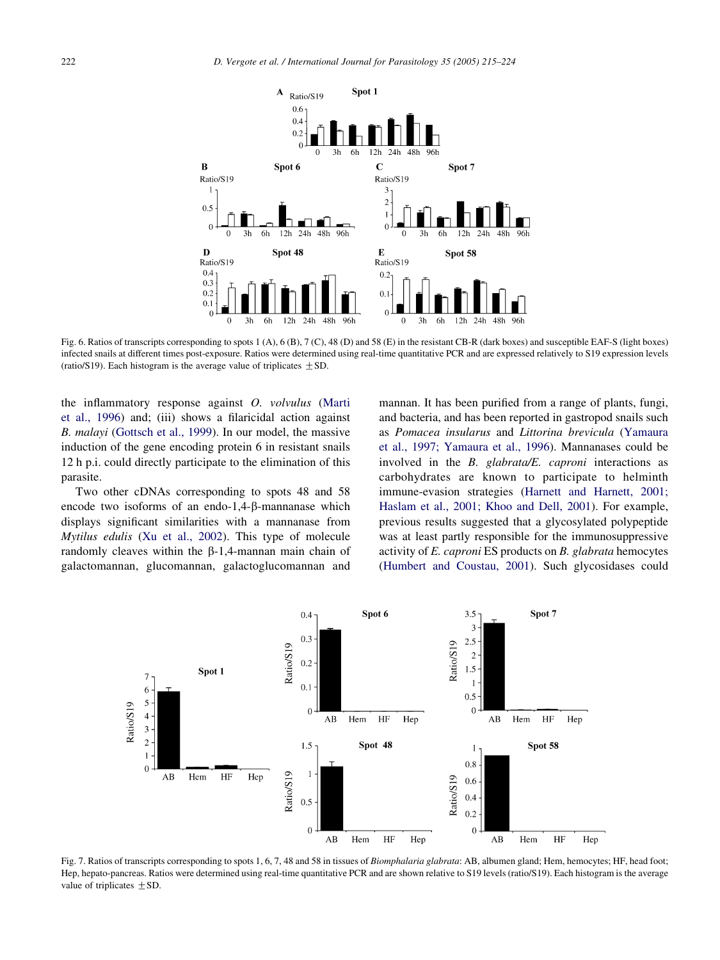<span id="page-7-0"></span>

Fig. 6. Ratios of transcripts corresponding to spots 1 (A), 6 (B), 7 (C), 48 (D) and 58 (E) in the resistant CB-R (dark boxes) and susceptible EAF-S (light boxes) infected snails at different times post-exposure. Ratios were determined using real-time quantitative PCR and are expressed relatively to S19 expression levels (ratio/S19). Each histogram is the average value of triplicates  $\pm$  SD.

the inflammatory response against O. volvulus [\(Marti](#page-8-0) [et al., 1996\)](#page-8-0) and; (iii) shows a filaricidal action against B. malayi ([Gottsch et al., 1999](#page-8-0)). In our model, the massive induction of the gene encoding protein 6 in resistant snails 12 h p.i. could directly participate to the elimination of this parasite.

Two other cDNAs corresponding to spots 48 and 58 encode two isoforms of an endo-1,4-B-mannanase which displays significant similarities with a mannanase from Mytilus edulis ([Xu et al., 2002](#page-9-0)). This type of molecule randomly cleaves within the  $\beta$ -1,4-mannan main chain of galactomannan, glucomannan, galactoglucomannan and mannan. It has been purified from a range of plants, fungi, and bacteria, and has been reported in gastropod snails such as Pomacea insularus and Littorina brevicula [\(Yamaura](#page-9-0) [et al., 1997; Yamaura et al., 1996\)](#page-9-0). Mannanases could be involved in the B. glabrata/E. caproni interactions as carbohydrates are known to participate to helminth immune-evasion strategies [\(Harnett and Harnett, 2001;](#page-8-0) [Haslam et al., 2001; Khoo and Dell, 2001](#page-8-0)). For example, previous results suggested that a glycosylated polypeptide was at least partly responsible for the immunosuppressive activity of E. caproni ES products on B. glabrata hemocytes ([Humbert and Coustau, 2001](#page-8-0)). Such glycosidases could



Fig. 7. Ratios of transcripts corresponding to spots 1, 6, 7, 48 and 58 in tissues of Biomphalaria glabrata: AB, albumen gland; Hem, hemocytes; HF, head foot; Hep, hepato-pancreas. Ratios were determined using real-time quantitative PCR and are shown relative to S19 levels (ratio/S19). Each histogram is the average value of triplicates  $\pm$  SD.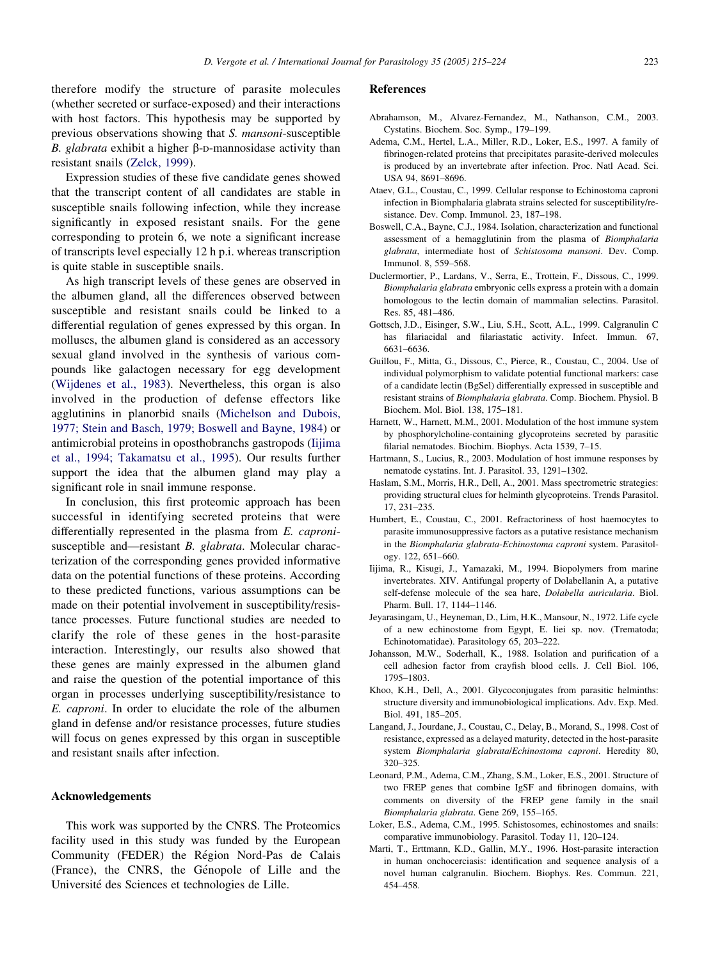<span id="page-8-0"></span>therefore modify the structure of parasite molecules (whether secreted or surface-exposed) and their interactions with host factors. This hypothesis may be supported by previous observations showing that S. mansoni-susceptible B. glabrata exhibit a higher  $\beta$ -D-mannosidase activity than resistant snails ([Zelck, 1999](#page-9-0)).

Expression studies of these five candidate genes showed that the transcript content of all candidates are stable in susceptible snails following infection, while they increase significantly in exposed resistant snails. For the gene corresponding to protein 6, we note a significant increase of transcripts level especially 12 h p.i. whereas transcription is quite stable in susceptible snails.

As high transcript levels of these genes are observed in the albumen gland, all the differences observed between susceptible and resistant snails could be linked to a differential regulation of genes expressed by this organ. In molluscs, the albumen gland is considered as an accessory sexual gland involved in the synthesis of various compounds like galactogen necessary for egg development ([Wijdenes et al., 1983\)](#page-9-0). Nevertheless, this organ is also involved in the production of defense effectors like agglutinins in planorbid snails [\(Michelson and Dubois,](#page-9-0) [1977; Stein and Basch, 1979; Boswell and Bayne, 1984](#page-9-0)) or antimicrobial proteins in oposthobranchs gastropods (Iijima et al., 1994; Takamatsu et al., 1995). Our results further support the idea that the albumen gland may play a significant role in snail immune response.

In conclusion, this first proteomic approach has been successful in identifying secreted proteins that were differentially represented in the plasma from E. capronisusceptible and—resistant B. glabrata. Molecular characterization of the corresponding genes provided informative data on the potential functions of these proteins. According to these predicted functions, various assumptions can be made on their potential involvement in susceptibility/resistance processes. Future functional studies are needed to clarify the role of these genes in the host-parasite interaction. Interestingly, our results also showed that these genes are mainly expressed in the albumen gland and raise the question of the potential importance of this organ in processes underlying susceptibility/resistance to E. caproni. In order to elucidate the role of the albumen gland in defense and/or resistance processes, future studies will focus on genes expressed by this organ in susceptible and resistant snails after infection.

#### Acknowledgements

This work was supported by the CNRS. The Proteomics facility used in this study was funded by the European Community (FEDER) the Région Nord-Pas de Calais (France), the CNRS, the Génopole of Lille and the Université des Sciences et technologies de Lille.

#### References

- Abrahamson, M., Alvarez-Fernandez, M., Nathanson, C.M., 2003. Cystatins. Biochem. Soc. Symp., 179–199.
- Adema, C.M., Hertel, L.A., Miller, R.D., Loker, E.S., 1997. A family of fibrinogen-related proteins that precipitates parasite-derived molecules is produced by an invertebrate after infection. Proc. Natl Acad. Sci. USA 94, 8691–8696.
- Ataev, G.L., Coustau, C., 1999. Cellular response to Echinostoma caproni infection in Biomphalaria glabrata strains selected for susceptibility/resistance. Dev. Comp. Immunol. 23, 187–198.
- Boswell, C.A., Bayne, C.J., 1984. Isolation, characterization and functional assessment of a hemagglutinin from the plasma of Biomphalaria glabrata, intermediate host of Schistosoma mansoni. Dev. Comp. Immunol. 8, 559–568.
- Duclermortier, P., Lardans, V., Serra, E., Trottein, F., Dissous, C., 1999. Biomphalaria glabrata embryonic cells express a protein with a domain homologous to the lectin domain of mammalian selectins. Parasitol. Res. 85, 481–486.
- Gottsch, J.D., Eisinger, S.W., Liu, S.H., Scott, A.L., 1999. Calgranulin C has filariacidal and filariastatic activity. Infect. Immun. 67, 6631–6636.
- Guillou, F., Mitta, G., Dissous, C., Pierce, R., Coustau, C., 2004. Use of individual polymorphism to validate potential functional markers: case of a candidate lectin (BgSel) differentially expressed in susceptible and resistant strains of Biomphalaria glabrata. Comp. Biochem. Physiol. B Biochem. Mol. Biol. 138, 175–181.
- Harnett, W., Harnett, M.M., 2001. Modulation of the host immune system by phosphorylcholine-containing glycoproteins secreted by parasitic filarial nematodes. Biochim. Biophys. Acta 1539, 7–15.
- Hartmann, S., Lucius, R., 2003. Modulation of host immune responses by nematode cystatins. Int. J. Parasitol. 33, 1291–1302.
- Haslam, S.M., Morris, H.R., Dell, A., 2001. Mass spectrometric strategies: providing structural clues for helminth glycoproteins. Trends Parasitol. 17, 231–235.
- Humbert, E., Coustau, C., 2001. Refractoriness of host haemocytes to parasite immunosuppressive factors as a putative resistance mechanism in the Biomphalaria glabrata-Echinostoma caproni system. Parasitology. 122, 651–660.
- Iijima, R., Kisugi, J., Yamazaki, M., 1994. Biopolymers from marine invertebrates. XIV. Antifungal property of Dolabellanin A, a putative self-defense molecule of the sea hare, Dolabella auricularia. Biol. Pharm. Bull. 17, 1144–1146.
- Jeyarasingam, U., Heyneman, D., Lim, H.K., Mansour, N., 1972. Life cycle of a new echinostome from Egypt, E. liei sp. nov. (Trematoda; Echinotomatidae). Parasitology 65, 203–222.
- Johansson, M.W., Soderhall, K., 1988. Isolation and purification of a cell adhesion factor from crayfish blood cells. J. Cell Biol. 106, 1795–1803.
- Khoo, K.H., Dell, A., 2001. Glycoconjugates from parasitic helminths: structure diversity and immunobiological implications. Adv. Exp. Med. Biol. 491, 185–205.
- Langand, J., Jourdane, J., Coustau, C., Delay, B., Morand, S., 1998. Cost of resistance, expressed as a delayed maturity, detected in the host-parasite system Biomphalaria glabrata/Echinostoma caproni. Heredity 80, 320–325.
- Leonard, P.M., Adema, C.M., Zhang, S.M., Loker, E.S., 2001. Structure of two FREP genes that combine IgSF and fibrinogen domains, with comments on diversity of the FREP gene family in the snail Biomphalaria glabrata. Gene 269, 155–165.
- Loker, E.S., Adema, C.M., 1995. Schistosomes, echinostomes and snails: comparative immunobiology. Parasitol. Today 11, 120–124.
- Marti, T., Erttmann, K.D., Gallin, M.Y., 1996. Host-parasite interaction in human onchocerciasis: identification and sequence analysis of a novel human calgranulin. Biochem. Biophys. Res. Commun. 221, 454–458.